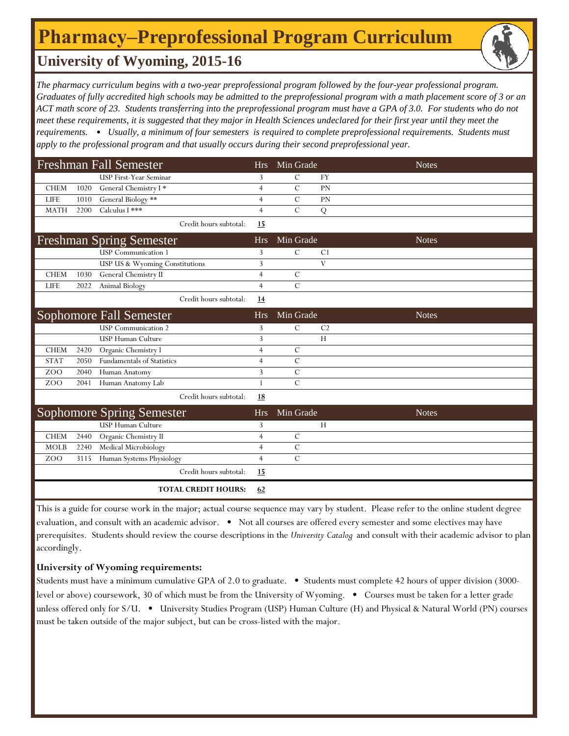## **Pharmacy‒Preprofessional Program Curriculum**

### **University of Wyoming, 2015-16**

*The pharmacy curriculum begins with a two-year preprofessional program followed by the four-year professional program. Graduates of fully accredited high schools may be admitted to the preprofessional program with a math placement score of 3 or an ACT math score of 23. Students transferring into the preprofessional program must have a GPA of 3.0. For students who do not meet these requirements, it is suggested that they major in Health Sciences undeclared for their first year until they meet the requirements.* • *Usually, a minimum of four semesters is required to complete preprofessional requirements. Students must apply to the professional program and that usually occurs during their second preprofessional year.* 

| <b>Freshman Fall Semester</b>    |      |                                   |                | Min Grade      |                | <b>Notes</b> |
|----------------------------------|------|-----------------------------------|----------------|----------------|----------------|--------------|
|                                  |      | <b>USP First-Year Seminar</b>     | 3              | $\mathcal{C}$  | <b>FY</b>      |              |
| <b>CHEM</b>                      | 1020 | General Chemistry I*              | $\overline{4}$ | $\mathcal{C}$  | PN             |              |
| <b>LIFE</b>                      | 1010 | General Biology **                | $\overline{4}$ | $\mathcal{C}$  | PN             |              |
| <b>MATH</b>                      | 2200 | Calculus I ***                    | $\overline{4}$ | $\overline{C}$ | ${\bf Q}$      |              |
|                                  |      | Credit hours subtotal:            | 15             |                |                |              |
| <b>Freshman Spring Semester</b>  |      |                                   | <b>Hrs</b>     | Min Grade      |                | <b>Notes</b> |
|                                  |      | <b>USP</b> Communication 1        | 3              | $\mathcal{C}$  | C <sub>1</sub> |              |
|                                  |      | USP US & Wyoming Constitutions    | 3              |                | V              |              |
| <b>CHEM</b>                      | 1030 | General Chemistry II              | $\overline{4}$ | $\mathcal{C}$  |                |              |
| <b>LIFE</b>                      | 2022 | Animal Biology                    | $\overline{4}$ | $\mathcal{C}$  |                |              |
|                                  |      | Credit hours subtotal:            | <u>14</u>      |                |                |              |
| <b>Sophomore Fall Semester</b>   |      |                                   | <b>Hrs</b>     | Min Grade      |                | <b>Notes</b> |
|                                  |      | <b>USP</b> Communication 2        | 3              | $\mathcal{C}$  | C <sub>2</sub> |              |
|                                  |      | <b>USP Human Culture</b>          | 3              |                | H              |              |
| <b>CHEM</b>                      | 2420 | Organic Chemistry I               | $\overline{4}$ | $\mathcal{C}$  |                |              |
| <b>STAT</b>                      | 2050 | <b>Fundamentals of Statistics</b> | $\overline{4}$ | $\mathcal{C}$  |                |              |
| ZOO                              | 2040 | Human Anatomy                     | 3              | $\mathcal{C}$  |                |              |
| ZO <sub>O</sub>                  | 2041 | Human Anatomy Lab                 | $\mathbf{1}$   | $\mathcal{C}$  |                |              |
|                                  |      | Credit hours subtotal:            | <u>18</u>      |                |                |              |
| <b>Sophomore Spring Semester</b> |      |                                   | <b>Hrs</b>     | Min Grade      |                | <b>Notes</b> |
|                                  |      | <b>USP Human Culture</b>          | 3              |                | H              |              |
| <b>CHEM</b>                      | 2440 | Organic Chemistry II              | $\overline{4}$ | $\mathcal{C}$  |                |              |
| <b>MOLB</b>                      | 2240 | Medical Microbiology              | $\overline{4}$ | $\mathcal{C}$  |                |              |
| Z <sub>O</sub> O                 | 3115 | Human Systems Physiology          | $\overline{4}$ | $\mathcal{C}$  |                |              |
|                                  |      | Credit hours subtotal:            | 15             |                |                |              |
|                                  |      | <b>TOTAL CREDIT HOURS:</b>        | 62             |                |                |              |

This is a guide for course work in the major; actual course sequence may vary by student. Please refer to the online student degree evaluation, and consult with an academic advisor. • Not all courses are offered every semester and some electives may have prerequisites. Students should review the course descriptions in the *University Catalog* and consult with their academic advisor to plan accordingly.

### **University of Wyoming requirements:**

Students must have a minimum cumulative GPA of 2.0 to graduate. • Students must complete 42 hours of upper division (3000 level or above) coursework, 30 of which must be from the University of Wyoming. • Courses must be taken for a letter grade unless offered only for S/U. • University Studies Program (USP) Human Culture (H) and Physical & Natural World (PN) courses must be taken outside of the major subject, but can be cross-listed with the major.